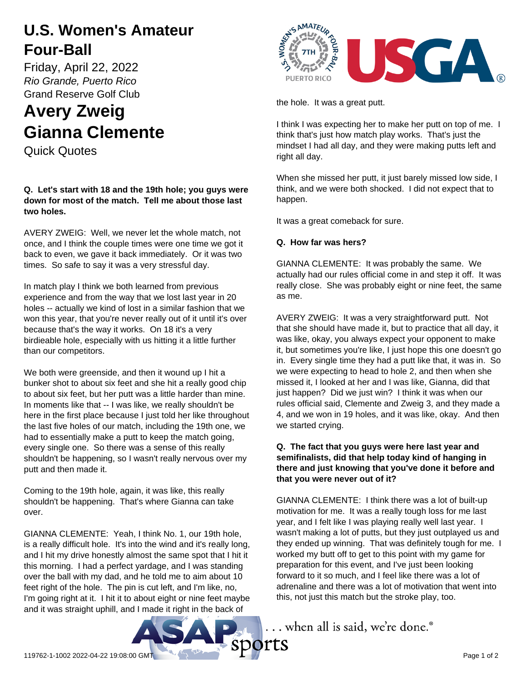## **U.S. Women's Amateur Four-Ball**

Friday, April 22, 2022 *Rio Grande, Puerto Rico* Grand Reserve Golf Club

# **Avery Zweig Gianna Clemente**

Quick Quotes

### **Q. Let's start with 18 and the 19th hole; you guys were down for most of the match. Tell me about those last two holes.**

AVERY ZWEIG: Well, we never let the whole match, not once, and I think the couple times were one time we got it back to even, we gave it back immediately. Or it was two times. So safe to say it was a very stressful day.

In match play I think we both learned from previous experience and from the way that we lost last year in 20 holes -- actually we kind of lost in a similar fashion that we won this year, that you're never really out of it until it's over because that's the way it works. On 18 it's a very birdieable hole, especially with us hitting it a little further than our competitors.

We both were greenside, and then it wound up I hit a bunker shot to about six feet and she hit a really good chip to about six feet, but her putt was a little harder than mine. In moments like that -- I was like, we really shouldn't be here in the first place because I just told her like throughout the last five holes of our match, including the 19th one, we had to essentially make a putt to keep the match going, every single one. So there was a sense of this really shouldn't be happening, so I wasn't really nervous over my putt and then made it.

Coming to the 19th hole, again, it was like, this really shouldn't be happening. That's where Gianna can take over.

GIANNA CLEMENTE: Yeah, I think No. 1, our 19th hole, is a really difficult hole. It's into the wind and it's really long, and I hit my drive honestly almost the same spot that I hit it this morning. I had a perfect yardage, and I was standing over the ball with my dad, and he told me to aim about 10 feet right of the hole. The pin is cut left, and I'm like, no, I'm going right at it. I hit it to about eight or nine feet maybe and it was straight uphill, and I made it right in the back of



the hole. It was a great putt.

I think I was expecting her to make her putt on top of me. I think that's just how match play works. That's just the mindset I had all day, and they were making putts left and right all day.

When she missed her putt, it just barely missed low side, I think, and we were both shocked. I did not expect that to happen.

It was a great comeback for sure.

### **Q. How far was hers?**

GIANNA CLEMENTE: It was probably the same. We actually had our rules official come in and step it off. It was really close. She was probably eight or nine feet, the same as me.

AVERY ZWEIG: It was a very straightforward putt. Not that she should have made it, but to practice that all day, it was like, okay, you always expect your opponent to make it, but sometimes you're like, I just hope this one doesn't go in. Every single time they had a putt like that, it was in. So we were expecting to head to hole 2, and then when she missed it, I looked at her and I was like, Gianna, did that just happen? Did we just win? I think it was when our rules official said, Clemente and Zweig 3, and they made a 4, and we won in 19 holes, and it was like, okay. And then we started crying.

#### **Q. The fact that you guys were here last year and semifinalists, did that help today kind of hanging in there and just knowing that you've done it before and that you were never out of it?**

GIANNA CLEMENTE: I think there was a lot of built-up motivation for me. It was a really tough loss for me last year, and I felt like I was playing really well last year. I wasn't making a lot of putts, but they just outplayed us and they ended up winning. That was definitely tough for me. I worked my butt off to get to this point with my game for preparation for this event, and I've just been looking forward to it so much, and I feel like there was a lot of adrenaline and there was a lot of motivation that went into this, not just this match but the stroke play, too.



... when all is said, we're done.®